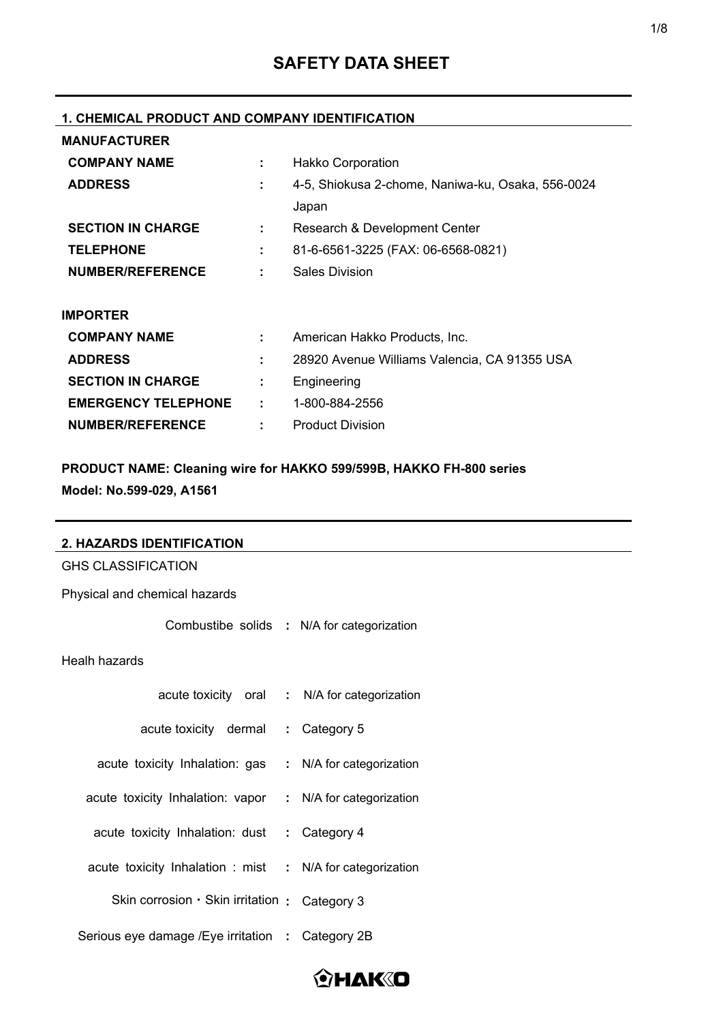## **1. CHEMICAL PRODUCT AND COMPANY IDENTIFICATION**

| <b>MANUFACTURER</b>        |   |                                                   |
|----------------------------|---|---------------------------------------------------|
| <b>COMPANY NAME</b>        | ÷ | <b>Hakko Corporation</b>                          |
| <b>ADDRESS</b>             | ÷ | 4-5, Shiokusa 2-chome, Naniwa-ku, Osaka, 556-0024 |
|                            |   | Japan                                             |
| <b>SECTION IN CHARGE</b>   | ÷ | Research & Development Center                     |
| <b>TELEPHONE</b>           | ÷ | 81-6-6561-3225 (FAX: 06-6568-0821)                |
| <b>NUMBER/REFERENCE</b>    | ÷ | <b>Sales Division</b>                             |
|                            |   |                                                   |
| <b>IMPORTER</b>            |   |                                                   |
| <b>COMPANY NAME</b>        |   | American Hakko Products, Inc.                     |
| <b>ADDRESS</b>             |   | 28920 Avenue Williams Valencia, CA 91355 USA      |
| <b>SECTION IN CHARGE</b>   | ÷ | Engineering                                       |
| <b>EMERGENCY TELEPHONE</b> | ÷ | 1-800-884-2556                                    |
| <b>NUMBER/REFERENCE</b>    | ÷ | <b>Product Division</b>                           |

## **PRODUCT NAME: Cleaning wire for HAKKO 599/599B, HAKKO FH-800 series Model: No.599-029, A1561**

| 2. HAZARDS IDENTIFICATION                                 |  |                          |  |  |  |  |  |
|-----------------------------------------------------------|--|--------------------------|--|--|--|--|--|
| <b>GHS CLASSIFICATION</b>                                 |  |                          |  |  |  |  |  |
| Physical and chemical hazards                             |  |                          |  |  |  |  |  |
| Combustibe solids : N/A for categorization                |  |                          |  |  |  |  |  |
| Healh hazards                                             |  |                          |  |  |  |  |  |
| acute toxicity oral : N/A for categorization              |  |                          |  |  |  |  |  |
| acute toxicity dermal                                     |  | $\therefore$ Category 5  |  |  |  |  |  |
| acute toxicity Inhalation: gas                            |  | : N/A for categorization |  |  |  |  |  |
| acute toxicity Inhalation: vapor : N/A for categorization |  |                          |  |  |  |  |  |
| acute toxicity Inhalation: dust : Category 4              |  |                          |  |  |  |  |  |
| acute toxicity Inhalation : mist : N/A for categorization |  |                          |  |  |  |  |  |
| Skin corrosion $\cdot$ Skin irritation : Category 3       |  |                          |  |  |  |  |  |
| Serious eye damage / Eye irritation : Category 2B         |  |                          |  |  |  |  |  |

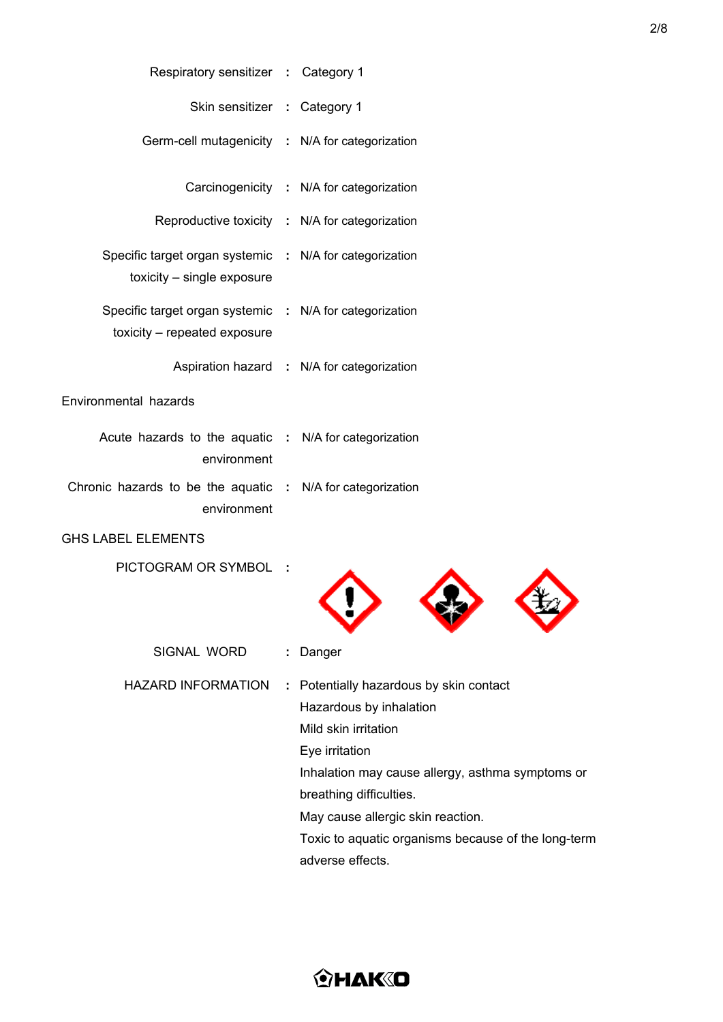| Respiratory sensitizer : Category 1             |  |
|-------------------------------------------------|--|
| Skin sensitizer : Category 1                    |  |
| Germ-cell mutagenicity : N/A for categorization |  |

- Carcinogenicity **:** N/A for categorization
- Reproductive toxicity **:** N/A for categorization
- Specific target organ systemic **:** N/A for categorization toxicity – single exposure
- Specific target organ systemic **:** N/A for categorization toxicity – repeated exposure
	- Aspiration hazard **:** N/A for categorization
- Environmental hazards

|  | Acute hazards to the aquatic : N/A for categorization      |
|--|------------------------------------------------------------|
|  | environment                                                |
|  | Chronic hazards to be the aquatic : N/A for categorization |

environment

GHS LABEL ELEMENTS

PICTOGRAM OR SYMBOL **:** 



| SIGNAL WORD        | : Danger                                            |
|--------------------|-----------------------------------------------------|
| HAZARD INFORMATION | : Potentially hazardous by skin contact             |
|                    | Hazardous by inhalation                             |
|                    | Mild skin irritation                                |
|                    | Eye irritation                                      |
|                    | Inhalation may cause allergy, asthma symptoms or    |
|                    | breathing difficulties.                             |
|                    | May cause allergic skin reaction.                   |
|                    | Toxic to aquatic organisms because of the long-term |
|                    |                                                     |

adverse effects.

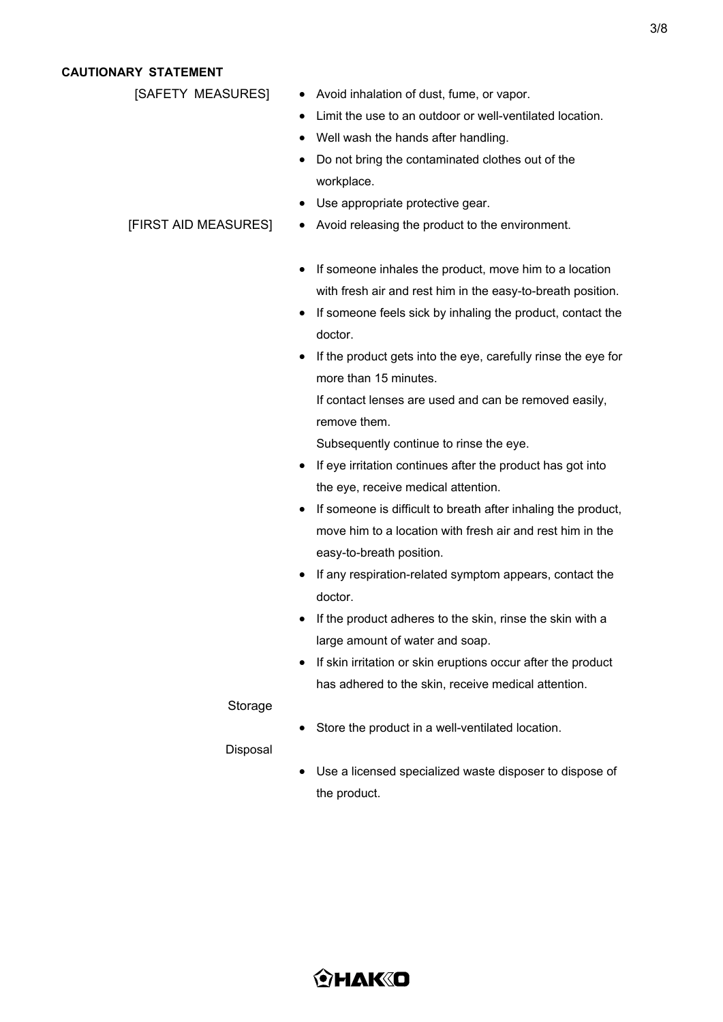#### **CAUTIONARY STATEMENT**

- [SAFETY MEASURES] Avoid inhalation of dust, fume, or vapor.
	- Limit the use to an outdoor or well-ventilated location.
	- Well wash the hands after handling.
	- Do not bring the contaminated clothes out of the workplace.
	- Use appropriate protective gear.

#### Avoid releasing the product to the environment.

- If someone inhales the product, move him to a location with fresh air and rest him in the easy-to-breath position.
- If someone feels sick by inhaling the product, contact the doctor.
- If the product gets into the eye, carefully rinse the eye for more than 15 minutes.

If contact lenses are used and can be removed easily, remove them.

Subsequently continue to rinse the eye.

- If eye irritation continues after the product has got into the eye, receive medical attention.
- If someone is difficult to breath after inhaling the product, move him to a location with fresh air and rest him in the easy-to-breath position.
- If any respiration-related symptom appears, contact the doctor.
- If the product adheres to the skin, rinse the skin with a large amount of water and soap.
- If skin irritation or skin eruptions occur after the product has adhered to the skin, receive medical attention.

Storage

• Store the product in a well-ventilated location.

Disposal

 Use a licensed specialized waste disposer to dispose of the product.

# ◈нак«О

### [FIRST AID MEASURES]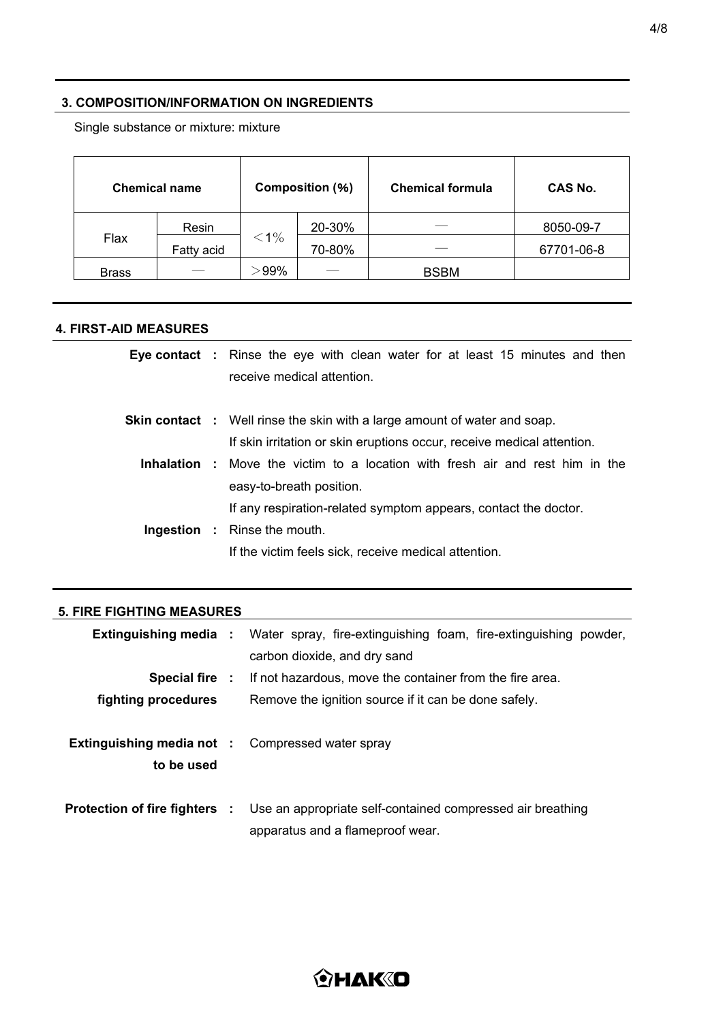### **3. COMPOSITION/INFORMATION ON INGREDIENTS**

Single substance or mixture: mixture

|              | <b>Chemical name</b> |         | Composition (%) | <b>Chemical formula</b> | <b>CAS No.</b> |  |
|--------------|----------------------|---------|-----------------|-------------------------|----------------|--|
|              | Resin                |         | 20-30%          |                         | 8050-09-7      |  |
| Flax         | Fatty acid           | $< 1\%$ | 70-80%          |                         | 67701-06-8     |  |
| <b>Brass</b> |                      | $-99\%$ |                 | <b>BSBM</b>             |                |  |

#### **4. FIRST-AID MEASURES**

|  | <b>Eye contact</b> : Rinse the eye with clean water for at least 15 minutes and then |
|--|--------------------------------------------------------------------------------------|
|  | receive medical attention.                                                           |
|  | <b>Skin contact</b> : Well rinse the skin with a large amount of water and soap.     |
|  | If skin irritation or skin eruptions occur, receive medical attention.               |
|  | <b>Inhalation</b> : Move the victim to a location with fresh air and rest him in the |
|  | easy-to-breath position.                                                             |
|  | If any respiration-related symptom appears, contact the doctor.                      |
|  | <b>Ingestion</b> : Rinse the mouth.                                                  |
|  | If the victim feels sick, receive medical attention.                                 |

## **5. FIRE FIGHTING MEASURES**

|                                                                       | <b>Extinguishing media :</b> Water spray, fire-extinguishing foam, fire-extinguishing powder,<br>carbon dioxide, and dry sand |
|-----------------------------------------------------------------------|-------------------------------------------------------------------------------------------------------------------------------|
|                                                                       | <b>Special fire :</b> If not hazardous, move the container from the fire area.                                                |
| fighting procedures                                                   | Remove the ignition source if it can be done safely.                                                                          |
| <b>Extinguishing media not : Compressed water spray</b><br>to be used |                                                                                                                               |
| Protection of fire fighters :                                         | Use an appropriate self-contained compressed air breathing<br>apparatus and a flameproof wear.                                |



## **OHAKIO**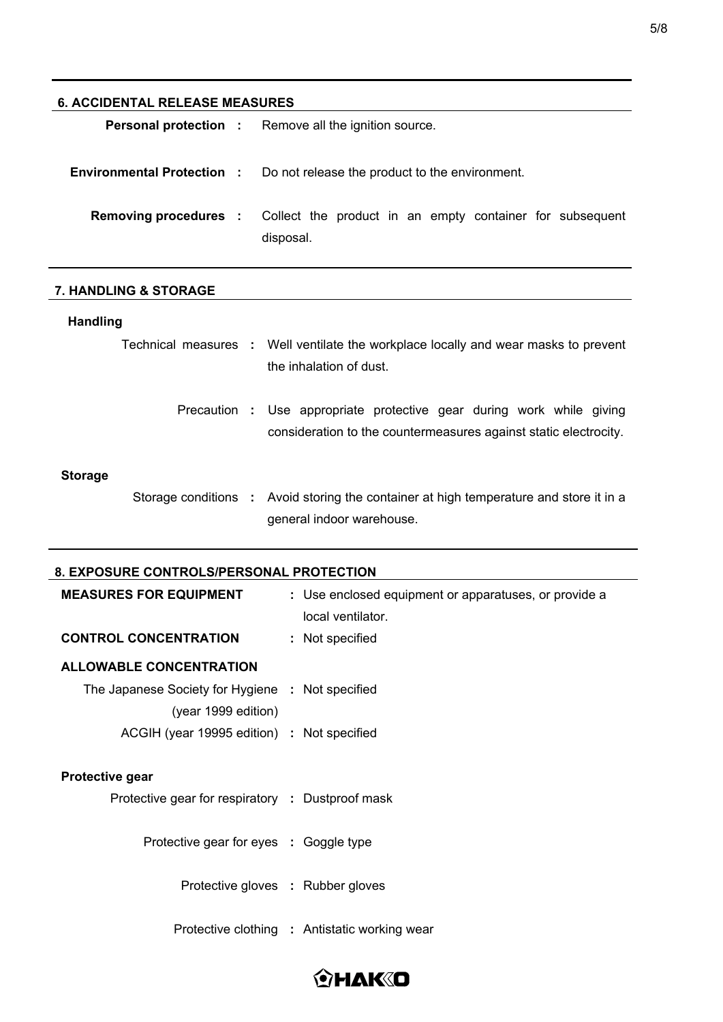#### **6. ACCIDENTAL RELEASE MEASURES**

|  | <b>Personal protection :</b> Remove all the ignition source.                                       |
|--|----------------------------------------------------------------------------------------------------|
|  | <b>Environmental Protection :</b> Do not release the product to the environment.                   |
|  | <b>Removing procedures</b> : Collect the product in an empty container for subsequent<br>disposal. |

### **7. HANDLING & STORAGE**

### **Handling**

|  | Technical measures : Well ventilate the workplace locally and wear masks to prevent<br>the inhalation of dust.                            |
|--|-------------------------------------------------------------------------------------------------------------------------------------------|
|  | Precaution : Use appropriate protective gear during work while giving<br>consideration to the countermeasures against static electrocity. |

## **Storage**

Storage conditions **:** Avoid storing the container at high temperature and store it in a general indoor warehouse.

#### **8. EXPOSURE CONTROLS/PERSONAL PROTECTION**

| <b>MEASURES FOR EQUIPMENT</b>                    | : Use enclosed equipment or apparatuses, or provide a |
|--------------------------------------------------|-------------------------------------------------------|
|                                                  | local ventilator.                                     |
| <b>CONTROL CONCENTRATION</b>                     | : Not specified                                       |
| <b>ALLOWABLE CONCENTRATION</b>                   |                                                       |
| The Japanese Society for Hygiene : Not specified |                                                       |
| (year 1999 edition)                              |                                                       |
| ACGIH (year 19995 edition) : Not specified       |                                                       |
|                                                  |                                                       |
| <b>Protective gear</b>                           |                                                       |
| Protective gear for respiratory : Dustproof mask |                                                       |
|                                                  |                                                       |
| Protective gear for eyes : Goggle type           |                                                       |
|                                                  |                                                       |
| Protective gloves : Rubber gloves                |                                                       |
|                                                  | Protective clothing : Antistatic working wear         |
|                                                  |                                                       |

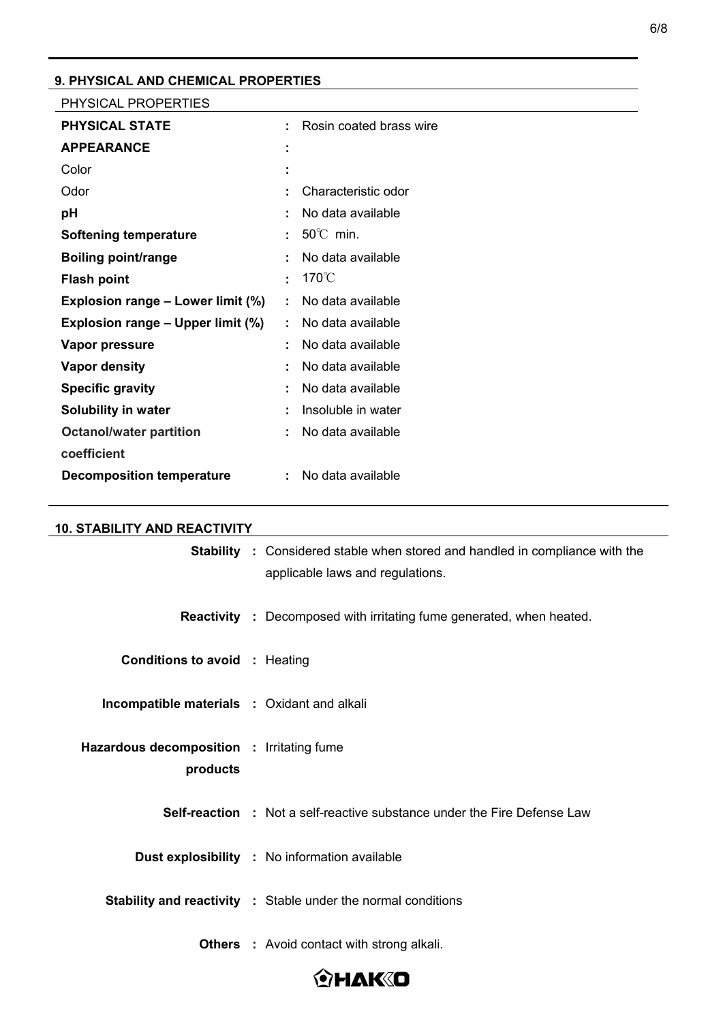## **9. PHYSICAL AND CHEMICAL PROPERTIES**

| PHYSICAL PROPERTIES                      |                     |                         |
|------------------------------------------|---------------------|-------------------------|
| <b>PHYSICAL STATE</b>                    | ٠.                  | Rosin coated brass wire |
| <b>APPEARANCE</b>                        |                     |                         |
| Color                                    | ٠<br>$\blacksquare$ |                         |
| Odor                                     |                     | Characteristic odor     |
| pH                                       |                     | No data available       |
| <b>Softening temperature</b>             |                     | $50^{\circ}$ C min.     |
| <b>Boiling point/range</b>               |                     | No data available       |
| <b>Flash point</b>                       | ÷.                  | $170^{\circ}$ C         |
| <b>Explosion range – Lower limit (%)</b> | ÷.                  | No data available       |
| <b>Explosion range – Upper limit (%)</b> | ÷.                  | No data available       |
| Vapor pressure                           | $\blacksquare$      | No data available       |
| <b>Vapor density</b>                     | $\blacksquare$      | No data available       |
| <b>Specific gravity</b>                  | ٠                   | No data available       |
| Solubility in water                      | ٠                   | Insoluble in water      |
| <b>Octanol/water partition</b>           |                     | No data available       |
| coefficient                              |                     |                         |
| <b>Decomposition temperature</b>         |                     | No data available       |
|                                          |                     |                         |

#### **10. STABILITY AND REACTIVITY**

|                                                       | <b>Stability</b> : Considered stable when stored and handled in compliance with the<br>applicable laws and regulations. |
|-------------------------------------------------------|-------------------------------------------------------------------------------------------------------------------------|
|                                                       | <b>Reactivity</b> : Decomposed with irritating fume generated, when heated.                                             |
| <b>Conditions to avoid : Heating</b>                  |                                                                                                                         |
| <b>Incompatible materials : Oxidant and alkali</b>    |                                                                                                                         |
| Hazardous decomposition : Irritating fume<br>products |                                                                                                                         |
|                                                       | <b>Self-reaction :</b> Not a self-reactive substance under the Fire Defense Law                                         |
|                                                       | <b>Dust explosibility : No information available</b>                                                                    |
|                                                       | <b>Stability and reactivity : Stable under the normal conditions</b>                                                    |
|                                                       | <b>Others</b> : Avoid contact with strong alkali.                                                                       |

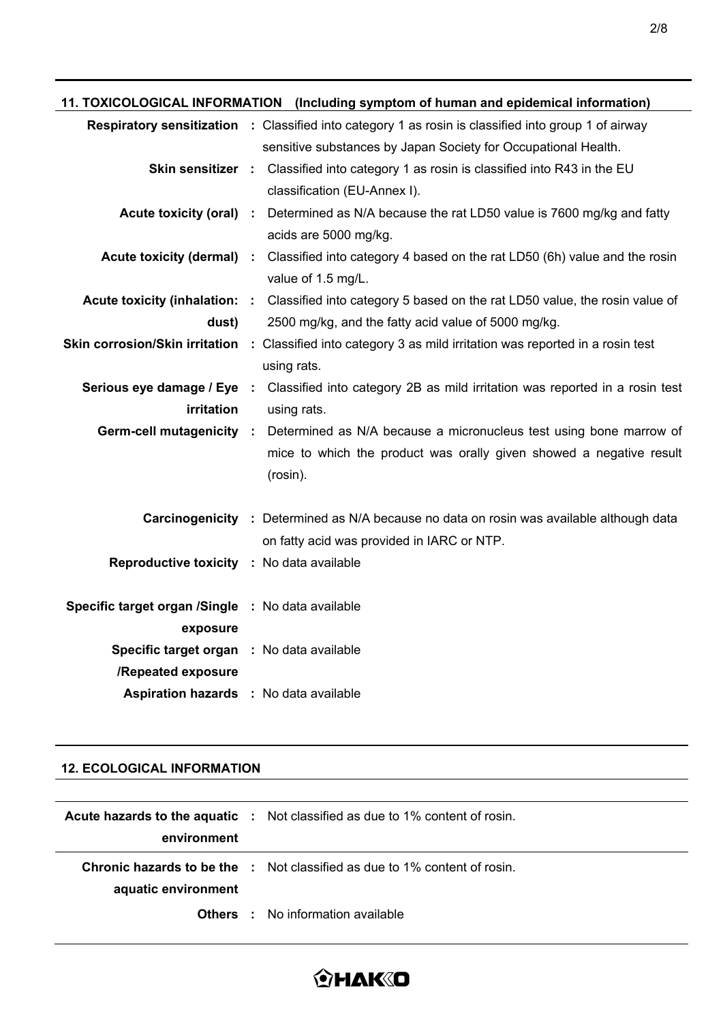| 11. TOXICOLOGICAL INFORMATION (Including symptom of human and epidemical information) |              |                                                                                                             |  |  |
|---------------------------------------------------------------------------------------|--------------|-------------------------------------------------------------------------------------------------------------|--|--|
|                                                                                       |              | Respiratory sensitization : Classified into category 1 as rosin is classified into group 1 of airway        |  |  |
|                                                                                       |              | sensitive substances by Japan Society for Occupational Health.                                              |  |  |
|                                                                                       |              | Skin sensitizer : Classified into category 1 as rosin is classified into R43 in the EU                      |  |  |
|                                                                                       |              | classification (EU-Annex I).                                                                                |  |  |
|                                                                                       |              | Acute toxicity (oral) : Determined as N/A because the rat LD50 value is 7600 mg/kg and fatty                |  |  |
|                                                                                       |              | acids are 5000 mg/kg.                                                                                       |  |  |
| Acute toxicity (dermal) :                                                             |              | Classified into category 4 based on the rat LD50 (6h) value and the rosin                                   |  |  |
|                                                                                       |              | value of 1.5 mg/L.                                                                                          |  |  |
| Acute toxicity (inhalation: :                                                         |              | Classified into category 5 based on the rat LD50 value, the rosin value of                                  |  |  |
| dust)                                                                                 |              | 2500 mg/kg, and the fatty acid value of 5000 mg/kg.                                                         |  |  |
|                                                                                       |              | Skin corrosion/Skin irritation : Classified into category 3 as mild irritation was reported in a rosin test |  |  |
|                                                                                       |              | using rats.                                                                                                 |  |  |
| Serious eye damage / Eye                                                              | $\mathbb{R}$ | Classified into category 2B as mild irritation was reported in a rosin test                                 |  |  |
| irritation                                                                            |              | using rats.                                                                                                 |  |  |
| Germ-cell mutagenicity :                                                              |              | Determined as N/A because a micronucleus test using bone marrow of                                          |  |  |
|                                                                                       |              | mice to which the product was orally given showed a negative result                                         |  |  |
|                                                                                       |              | (rosin).                                                                                                    |  |  |
|                                                                                       |              |                                                                                                             |  |  |
|                                                                                       |              | <b>Carcinogenicity</b> : Determined as N/A because no data on rosin was available although data             |  |  |
|                                                                                       |              | on fatty acid was provided in IARC or NTP.                                                                  |  |  |
| Reproductive toxicity : No data available                                             |              |                                                                                                             |  |  |
|                                                                                       |              |                                                                                                             |  |  |
| Specific target organ /Single : No data available                                     |              |                                                                                                             |  |  |
| exposure<br>Specific target organ : No data available                                 |              |                                                                                                             |  |  |
| /Repeated exposure                                                                    |              |                                                                                                             |  |  |
| Aspiration hazards : No data available                                                |              |                                                                                                             |  |  |
|                                                                                       |              |                                                                                                             |  |  |

## **12. ECOLOGICAL INFORMATION**

| environment         | <b>Acute hazards to the aquatic :</b> Not classified as due to 1% content of rosin. |
|---------------------|-------------------------------------------------------------------------------------|
|                     | <b>Chronic hazards to be the :</b> Not classified as due to 1% content of rosin.    |
| aquatic environment |                                                                                     |
|                     | <b>Others</b> : No information available                                            |